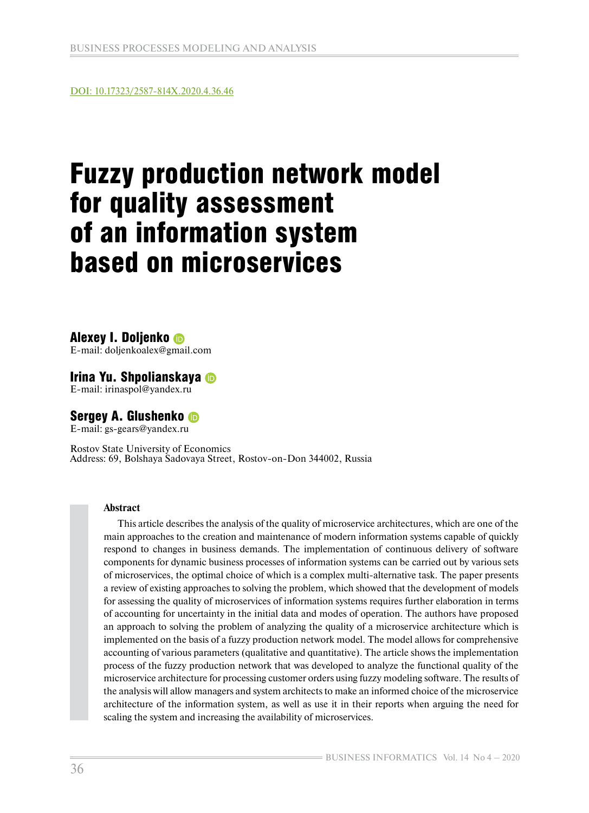DOI: [10.17323/2587-814X.2020.4.36.46](https://bijournal.hse.ru/en/2020--4%20Vol.14/430036495.html)

# Fuzzy production network model for quality assessment of an information system based on microservices

# Alexey I. Doljenko

E-mail: doljenkoalex@gmail.com

# Irina Yu. Shpolianskaya

E-mail: irinaspol@yandex.ru

# Sergey A. Glushenko

E-mail: gs-gears@yandex.ru

Rostov State University of Economics Address: 69, Bolshaya Sadovaya Street, Rostov-on-Don 344002, Russia

#### **Abstract**

This article describes the analysis of the quality of microservice architectures, which are one of the main approaches to the creation and maintenance of modern information systems capable of quickly respond to changes in business demands. The implementation of continuous delivery of software components for dynamic business processes of information systems can be carried out by various sets of microservices, the optimal choice of which is a complex multi-alternative task. The paper presents a review of existing approaches to solving the problem, which showed that the development of models for assessing the quality of microservices of information systems requires further elaboration in terms of accounting for uncertainty in the initial data and modes of operation. The authors have proposed an approach to solving the problem of analyzing the quality of a microservice architecture which is implemented on the basis of a fuzzy production network model. The model allows for comprehensive accounting of various parameters (qualitative and quantitative). The article shows the implementation process of the fuzzy production network that was developed to analyze the functional quality of the microservice architecture for processing customer orders using fuzzy modeling software. The results of the analysis will allow managers and system architects to make an informed choice of the microservice architecture of the information system, as well as use it in their reports when arguing the need for scaling the system and increasing the availability of microservices.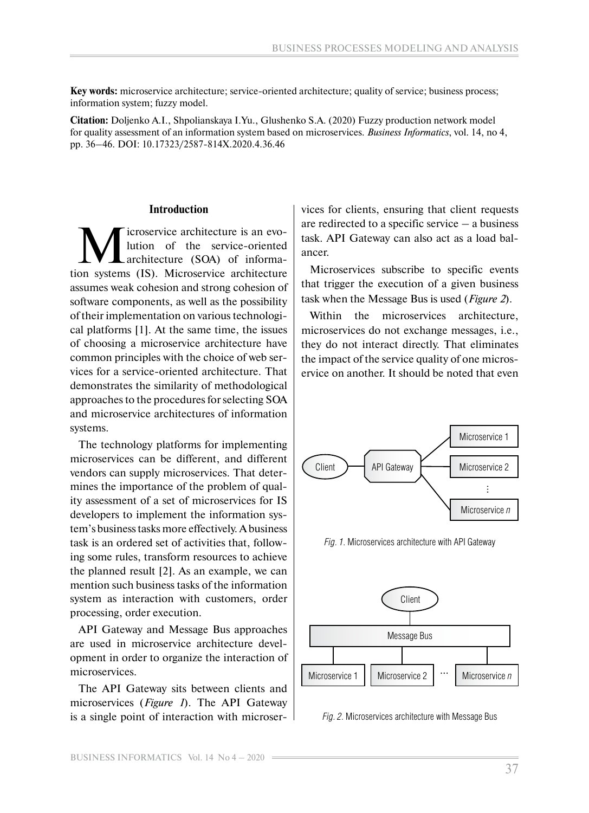**Key words:** microservice architecture; service-oriented architecture; quality of service; business process; information system; fuzzy model.

**Citation:** Doljenko A.I., Shpolianskaya I.Yu., Glushenko S.A. (2020) Fuzzy production network model for quality assessment of an information system based on microservices. *Business Informatics*, vol. 14, no 4, pp. 36–46. DOI: 10.17323/2587-814X.2020.4.36.46

#### **Introduction**

icroservice architecture is an evolution of the service-oriented architecture (SOA) of information systems (IS). Microservice architecture assumes weak cohesion and strong cohesion of software components, as well as the possibility of their implementation on various technological platforms [1]. At the same time, the issues of choosing a microservice architecture have common principles with the choice of web services for a service-oriented architecture. That demonstrates the similarity of methodological approaches to the procedures for selecting SOA and microservice architectures of information systems.

The technology platforms for implementing microservices can be different, and different vendors can supply microservices. That determines the importance of the problem of quality assessment of a set of microservices for IS developers to implement the information system's business tasks more effectively. A business task is an ordered set of activities that, following some rules, transform resources to achieve the planned result [2]. As an example, we can mention such business tasks of the information system as interaction with customers, order processing, order execution.

API Gateway and Message Bus approaches are used in microservice architecture development in order to organize the interaction of microservices.

The API Gateway sits between clients and microservices (*Figure 1*). The API Gateway is a single point of interaction with microservices for clients, ensuring that client requests are redirected to a specific service – a business task. API Gateway can also act as a load balancer.

Microservices subscribe to specific events that trigger the execution of a given business task when the Message Bus is used (*Figure 2*).

Within the microservices architecture, microservices do not exchange messages, i.e., they do not interact directly. That eliminates the impact of the service quality of one microservice on another. It should be noted that even



*Fig. 1*. Microservices architecture with API Gateway



*Fig. 2.* Microservices architecture with Message Bus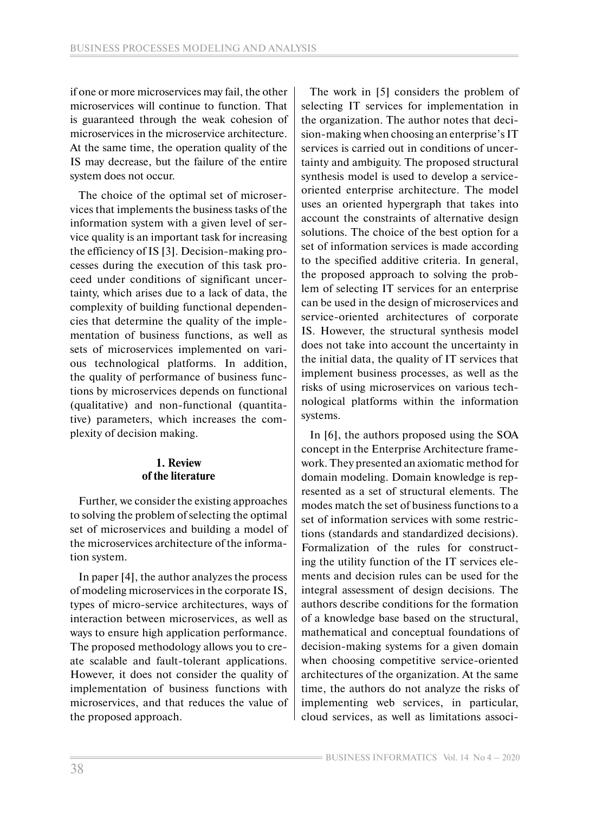if one or more microservices may fail, the other microservices will continue to function. That is guaranteed through the weak cohesion of microservices in the microservice architecture. At the same time, the operation quality of the IS may decrease, but the failure of the entire system does not occur.

The choice of the optimal set of microservices that implements the business tasks of the information system with a given level of service quality is an important task for increasing the efficiency of IS [3]. Decision-making processes during the execution of this task proceed under conditions of significant uncertainty, which arises due to a lack of data, the complexity of building functional dependencies that determine the quality of the implementation of business functions, as well as sets of microservices implemented on various technological platforms. In addition, the quality of performance of business functions by microservices depends on functional (qualitative) and non-functional (quantitative) parameters, which increases the complexity of decision making.

# **1. Review of the literature**

Further, we consider the existing approaches to solving the problem of selecting the optimal set of microservices and building a model of the microservices architecture of the information system.

In paper [4], the author analyzes the process of modeling microservices in the corporate IS, types of micro-service architectures, ways of interaction between microservices, as well as ways to ensure high application performance. The proposed methodology allows you to create scalable and fault-tolerant applications. However, it does not consider the quality of implementation of business functions with microservices, and that reduces the value of the proposed approach.

The work in [5] considers the problem of selecting IT services for implementation in the organization. The author notes that decision-making when choosing an enterprise's IT services is carried out in conditions of uncertainty and ambiguity. The proposed structural synthesis model is used to develop a serviceoriented enterprise architecture. The model uses an oriented hypergraph that takes into account the constraints of alternative design solutions. The choice of the best option for a set of information services is made according to the specified additive criteria. In general, the proposed approach to solving the problem of selecting IT services for an enterprise can be used in the design of microservices and service-oriented architectures of corporate IS. However, the structural synthesis model does not take into account the uncertainty in the initial data, the quality of IT services that implement business processes, as well as the risks of using microservices on various technological platforms within the information systems.

In [6], the authors proposed using the SOA concept in the Enterprise Architecture framework. They presented an axiomatic method for domain modeling. Domain knowledge is represented as a set of structural elements. The modes match the set of business functions to a set of information services with some restrictions (standards and standardized decisions). Formalization of the rules for constructing the utility function of the IT services elements and decision rules can be used for the integral assessment of design decisions. The authors describe conditions for the formation of a knowledge base based on the structural, mathematical and conceptual foundations of decision-making systems for a given domain when choosing competitive service-oriented architectures of the organization. At the same time, the authors do not analyze the risks of implementing web services, in particular, cloud services, as well as limitations associ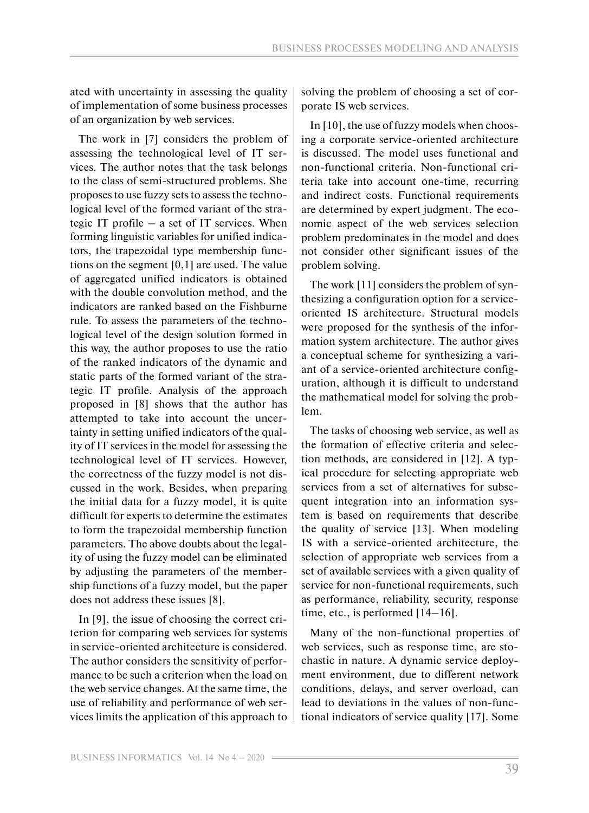ated with uncertainty in assessing the quality of implementation of some business processes of an organization by web services.

The work in [7] considers the problem of assessing the technological level of IT services. The author notes that the task belongs to the class of semi-structured problems. She proposes to use fuzzy sets to assess the technological level of the formed variant of the strategic IT profile – a set of IT services. When forming linguistic variables for unified indicators, the trapezoidal type membership functions on the segment [0,1] are used. The value of aggregated unified indicators is obtained with the double convolution method, and the indicators are ranked based on the Fishburne rule. To assess the parameters of the technological level of the design solution formed in this way, the author proposes to use the ratio of the ranked indicators of the dynamic and static parts of the formed variant of the strategic IT profile. Analysis of the approach proposed in [8] shows that the author has attempted to take into account the uncertainty in setting unified indicators of the quality of IT services in the model for assessing the technological level of IT services. However, the correctness of the fuzzy model is not discussed in the work. Besides, when preparing the initial data for a fuzzy model, it is quite difficult for experts to determine the estimates to form the trapezoidal membership function parameters. The above doubts about the legality of using the fuzzy model can be eliminated by adjusting the parameters of the membership functions of a fuzzy model, but the paper does not address these issues [8].

In [9], the issue of choosing the correct criterion for comparing web services for systems in service-oriented architecture is considered. The author considers the sensitivity of performance to be such a criterion when the load on the web service changes. At the same time, the use of reliability and performance of web services limits the application of this approach to solving the problem of choosing a set of corporate IS web services.

In [10], the use of fuzzy models when choosing a corporate service-oriented architecture is discussed. The model uses functional and non-functional criteria. Non-functional criteria take into account one-time, recurring and indirect costs. Functional requirements are determined by expert judgment. The economic aspect of the web services selection problem predominates in the model and does not consider other significant issues of the problem solving.

The work [11] considers the problem of synthesizing a configuration option for a serviceoriented IS architecture. Structural models were proposed for the synthesis of the information system architecture. The author gives a conceptual scheme for synthesizing a variant of a service-oriented architecture configuration, although it is difficult to understand the mathematical model for solving the problem.

The tasks of choosing web service, as well as the formation of effective criteria and selection methods, are considered in [12]. A typical procedure for selecting appropriate web services from a set of alternatives for subsequent integration into an information system is based on requirements that describe the quality of service [13]. When modeling IS with a service-oriented architecture, the selection of appropriate web services from a set of available services with a given quality of service for non-functional requirements, such as performance, reliability, security, response time, etc., is performed [14–16].

Many of the non-functional properties of web services, such as response time, are stochastic in nature. A dynamic service deployment environment, due to different network conditions, delays, and server overload, can lead to deviations in the values of non-functional indicators of service quality [17]. Some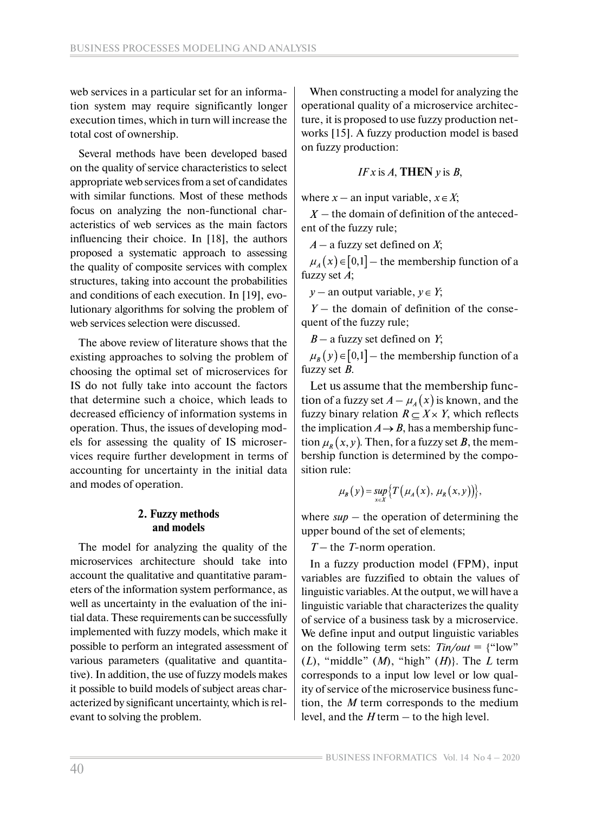web services in a particular set for an information system may require significantly longer execution times, which in turn will increase the total cost of ownership.

Several methods have been developed based on the quality of service characteristics to select appropriate web services from a set of candidates with similar functions. Most of these methods focus on analyzing the non-functional characteristics of web services as the main factors influencing their choice. In [18], the authors proposed a systematic approach to assessing the quality of composite services with complex structures, taking into account the probabilities and conditions of each execution. In [19], evolutionary algorithms for solving the problem of web services selection were discussed.

The above review of literature shows that the existing approaches to solving the problem of choosing the optimal set of microservices for IS do not fully take into account the factors that determine such a choice, which leads to decreased efficiency of information systems in operation. Thus, the issues of developing models for assessing the quality of IS microservices require further development in terms of accounting for uncertainty in the initial data and modes of operation.

# **2. Fuzzy methods and models**

The model for analyzing the quality of the microservices architecture should take into account the qualitative and quantitative parameters of the information system performance, as well as uncertainty in the evaluation of the initial data. These requirements can be successfully implemented with fuzzy models, which make it possible to perform an integrated assessment of various parameters (qualitative and quantitative). In addition, the use of fuzzy models makes it possible to build models of subject areas characterized by significant uncertainty, which is relevant to solving the problem.

When constructing a model for analyzing the operational quality of a microservice architecture, it is proposed to use fuzzy production networks [15]. A fuzzy production model is based on fuzzy production:

$$
IFx \text{ is } A, \text{THEN } y \text{ is } B,
$$

where  $x -$  an input variable,  $x \in X$ ;

 $X$  – the domain of definition of the antecedent of the fuzzy rule;

*А* – a fuzzy set defined on *X*;

 $\mu_A(x) \in [0,1]$  – the membership function of a fuzzy set *А*;

*y* – an output variable,  $y \in Y$ ;

*Y* – the domain of definition of the consequent of the fuzzy rule;

*В* – a fuzzy set defined on *Y*;

 $\mu_{R}(y) \in [0,1]$  – the membership function of a fuzzy set *B*.

Let us assume that the membership function of a fuzzy set  $A - \mu_A(x)$  is known, and the fuzzy binary relation  $R \subset X \times Y$ , which reflects the implication  $A \rightarrow B$ , has a membership function  $\mu_{R}(x, y)$ . Then, for a fuzzy set B, the membership function is determined by the composition rule:

$$
\mu_B(y) = \sup_{x \in X} \{ T(\mu_A(x), \mu_R(x, y)) \},
$$

where  $\sup$  – the operation of determining the upper bound of the set of elements;

*T* – the *T*-norm operation.

In a fuzzy production model (FPM), input variables are fuzzified to obtain the values of linguistic variables. At the output, we will have a linguistic variable that characterizes the quality of service of a business task by a microservice. We define input and output linguistic variables on the following term sets:  $T\text{in}/\text{out} =$  {"low" (*L*), "middle" (*M*), "high" (*H*)}. The *L* term corresponds to a input low level or low quality of service of the microservice business function, the *M* term corresponds to the medium level, and the *H* term – to the high level.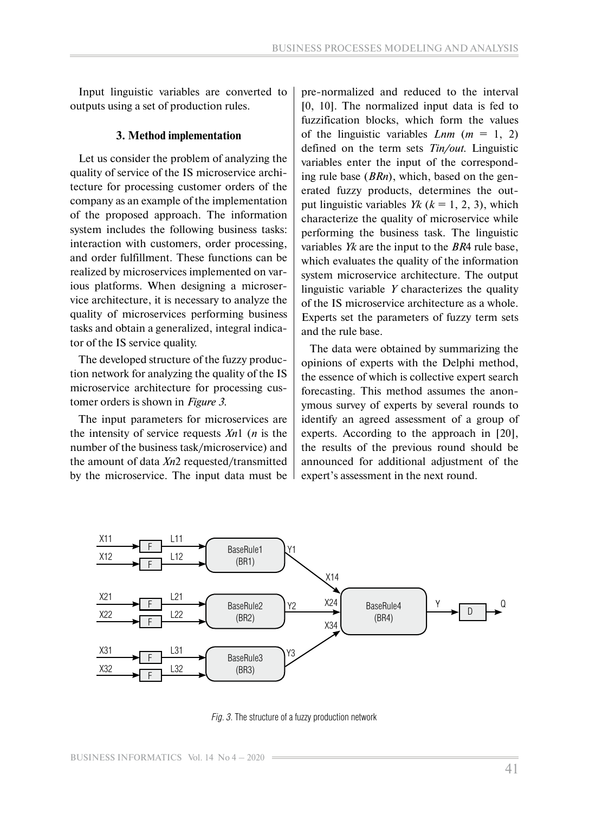Input linguistic variables are converted to outputs using a set of production rules.

#### **3. Method implementation**

Let us consider the problem of analyzing the quality of service of the IS microservice architecture for processing customer orders of the company as an example of the implementation of the proposed approach. The information system includes the following business tasks: interaction with customers, order processing, and order fulfillment. These functions can be realized by microservices implemented on various platforms. When designing a microservice architecture, it is necessary to analyze the quality of microservices performing business tasks and obtain a generalized, integral indicator of the IS service quality.

The developed structure of the fuzzy production network for analyzing the quality of the IS microservice architecture for processing customer orders is shown in *Figure 3*.

The input parameters for microservices are the intensity of service requests *Xn*1 (*n* is the number of the business task/microservice) and the amount of data *Xn*2 requested/transmitted by the microservice. The input data must be pre-normalized and reduced to the interval [0, 10]. The normalized input data is fed to fuzzification blocks, which form the values of the linguistic variables  $Lnm$  ( $m = 1, 2$ ) defined on the term sets *Tin/out*. Linguistic variables enter the input of the corresponding rule base (*BRn*), which, based on the generated fuzzy products, determines the output linguistic variables *Yk* ( $k = 1, 2, 3$ ), which characterize the quality of microservice while performing the business task. The linguistic variables *Yk* are the input to the *BR*4 rule base, which evaluates the quality of the information system microservice architecture. The output linguistic variable *Y* characterizes the quality of the IS microservice architecture as a whole. Experts set the parameters of fuzzy term sets and the rule base.

The data were obtained by summarizing the opinions of experts with the Delphi method, the essence of which is collective expert search forecasting. This method assumes the anonymous survey of experts by several rounds to identify an agreed assessment of a group of experts. According to the approach in [20], the results of the previous round should be announced for additional adjustment of the expert's assessment in the next round.



*Fig. 3*. The structure of a fuzzy production network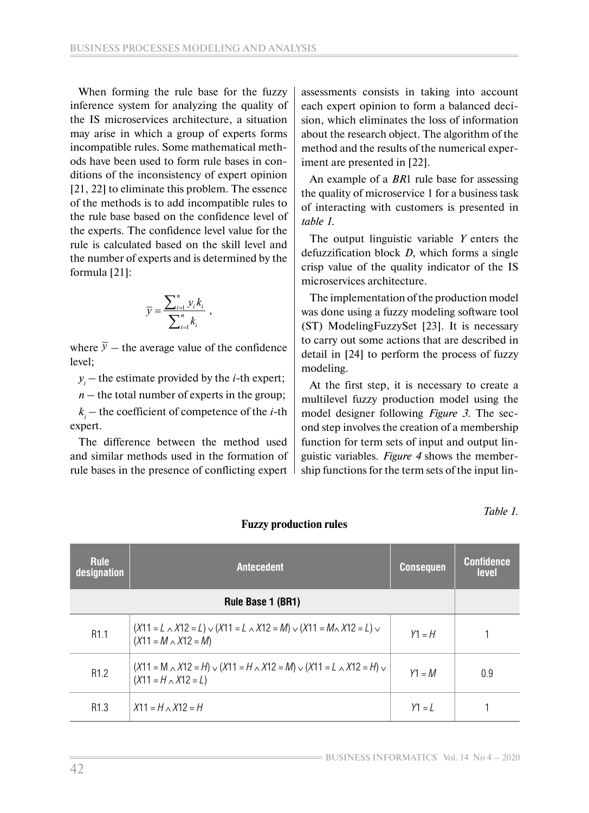When forming the rule base for the fuzzy inference system for analyzing the quality of the IS microservices architecture, a situation may arise in which a group of experts forms incompatible rules. Some mathematical methods have been used to form rule bases in conditions of the inconsistency of expert opinion [21, 22] to eliminate this problem. The essence of the methods is to add incompatible rules to the rule base based on the confidence level of the experts. The confidence level value for the rule is calculated based on the skill level and the number of experts and is determined by the formula [21]:

$$
\overline{y} = \frac{\sum_{i=1}^{n} y_i k_i}{\sum_{i=1}^{n} k_i},
$$

where  $\overline{y}$  – the average value of the confidence level;

*yi* – the estimate provided by the *i-*th expert;

 $n$  – the total number of experts in the group;

*ki* – the coefficient of competence of the *i-*th expert.

The difference between the method used and similar methods used in the formation of rule bases in the presence of conflicting expert assessments consists in taking into account each expert opinion to form a balanced decision, which eliminates the loss of information about the research object. The algorithm of the method and the results of the numerical experiment are presented in [22].

An example of a *BR*1 rule base for assessing the quality of microservice 1 for a business task of interacting with customers is presented in *table 1*.

The output linguistic variable *Y* enters the defuzzification block *D*, which forms a single crisp value of the quality indicator of the IS microservices architecture.

The implementation of the production model was done using a fuzzy modeling software tool (ST) ModelingFuzzySet [23]. It is necessary to carry out some actions that are described in detail in [24] to perform the process of fuzzy modeling.

At the first step, it is necessary to create a multilevel fuzzy production model using the model designer following *Figure 3*. The second step involves the creation of a membership function for term sets of input and output linguistic variables. *Figure 4* shows the membership functions for the term sets of the input lin-

*Table 1.*

| <b>Rule</b><br>designation | <b>Antecedent</b>                                                                                                         | <b>Consequen</b> | <b>Confidence</b><br>level |
|----------------------------|---------------------------------------------------------------------------------------------------------------------------|------------------|----------------------------|
| Rule Base 1 (BR1)          |                                                                                                                           |                  |                            |
| R <sub>1.1</sub>           | $(X11 = L \wedge X12 = L) \vee (X11 = L \wedge X12 = M) \vee (X11 = M \wedge X12 = L) \vee$<br>$(X11 = M \wedge X12 = M)$ | $Y1 = H$         |                            |
| R <sub>1.2</sub>           | $(X11 = M \wedge X12 = H) \vee (X11 = H \wedge X12 = M) \vee (X11 = L \wedge X12 = H) \vee$<br>$(X11 = H \wedge X12 = L)$ | $Y1 = M$         | 0.9                        |
| R <sub>1.3</sub>           | $X11 = H \wedge X12 = H$                                                                                                  | $Y1 = I$         |                            |

#### **Fuzzy production rules**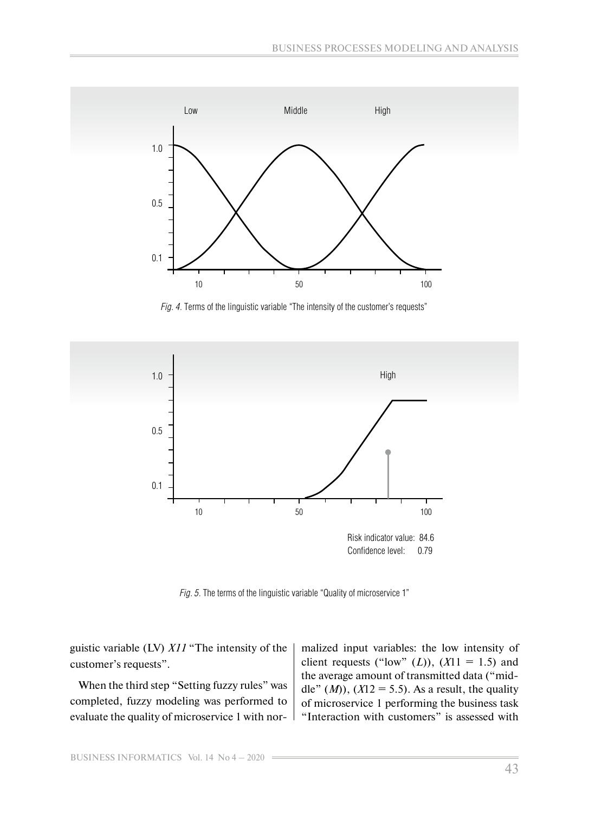

*Fig. 4.* Terms of the linguistic variable "The intensity of the customer's requests"



*Fig. 5.* The terms of the linguistic variable "Quality of microservice 1"

guistic variable (LV) *X11* "The intensity of the customer's requests".

When the third step "Setting fuzzy rules" was completed, fuzzy modeling was performed to evaluate the quality of microservice 1 with normalized input variables: the low intensity of client requests ("low"  $(L)$ ),  $(X11 = 1.5)$  and the average amount of transmitted data ("middle"  $(M)$ ,  $(X12 = 5.5)$ . As a result, the quality of microservice 1 performing the business task "Interaction with customers" is assessed with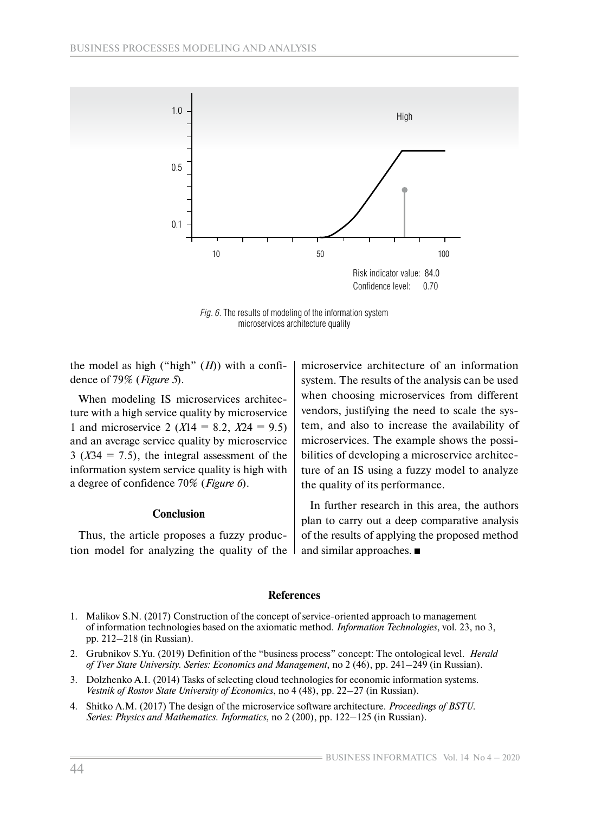

*Fig. 6.* The results of modeling of the information system microservices architecture quality

the model as high ("high" (*H*)) with a confidence of 79% (*Figure 5*).

When modeling IS microservices architecture with a high service quality by microservice 1 and microservice 2 ( $X14 = 8.2$ ,  $X24 = 9.5$ ) and an average service quality by microservice  $3 (X34 = 7.5)$ , the integral assessment of the information system service quality is high with a degree of confidence 70% (*Figure 6*).

#### **Conclusion**

Thus, the article proposes a fuzzy production model for analyzing the quality of the microservice architecture of an information system. The results of the analysis can be used when choosing microservices from different vendors, justifying the need to scale the system, and also to increase the availability of microservices. The example shows the possibilities of developing a microservice architecture of an IS using a fuzzy model to analyze the quality of its performance.

In further research in this area, the authors plan to carry out a deep comparative analysis of the results of applying the proposed method and similar approaches.

#### **References**

- 1. Malikov S.N. (2017) Construction of the concept of service-oriented approach to management of information technologies based on the axiomatic method. *Information Technologies*, vol. 23, no 3, pp. 212–218 (in Russian).
- 2. Grubnikov S.Yu. (2019) Definition of the "business process" concept: The ontological level. *Herald of Tver State University. Series: Economics and Management*, no 2 (46), pp. 241–249 (in Russian).
- 3. Dolzhenko A.I. (2014) Tasks of selecting cloud technologies for economic information systems. *Vestnik of Rostov State University of Economics*, no 4 (48), pp. 22–27 (in Russian).
- 4. Shitko А.М. (2017) The design of the microservice software architecture. *Proceedings of BSTU. Series: Physics and Mathematics. Informatics*, no 2 (200), pp. 122–125 (in Russian).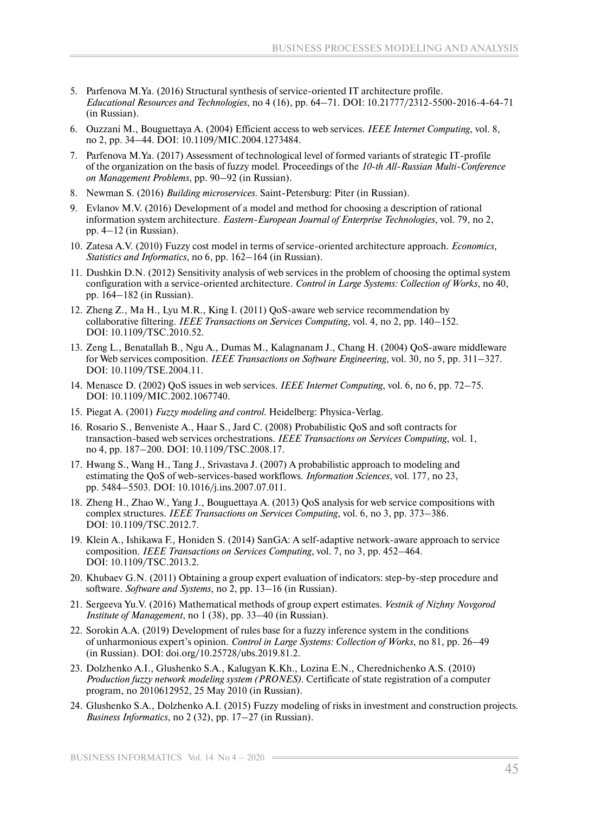- 5. Parfenova M.Ya. (2016) Structural synthesis of service-oriented IT architecture profile. *Educational Resources and Technologies*, no 4 (16), pp. 64–71. DOI: 10.21777/2312-5500-2016-4-64-71 (in Russian).
- 6. Ouzzani M., Bouguettaya A. (2004) Efficient access to web services. *IEEE Internet Computing*, vol. 8, no 2, pp. 34–44. DOI: 10.1109/MIC.2004.1273484.
- 7. Parfenova M.Ya. (2017) Assessment of technological level of formed variants of strategic IT-profile of the organization on the basis of fuzzy model. Proceedings of the *10-th All-Russian Multi-Conference on Management Problems*, pp. 90–92 (in Russian).
- 8. Newman S. (2016) *Building microservices*. Saint-Petersburg: Piter (in Russian).
- 9. Evlanov M.V. (2016) Development of a model and method for choosing a description of rational information system architecture. *Eastern-European Journal of Enterprise Technologies*, vol. 79, no 2, pp. 4–12 (in Russian).
- 10. Zatesa A.V. (2010) Fuzzy cost model in terms of service-oriented architecture approach. *Economics, Statistics and Informatics*, no 6, pp. 162–164 (in Russian).
- 11. Dushkin D.N. (2012) Sensitivity analysis of web services in the problem of choosing the optimal system configuration with a service-oriented architecture. *Control in Large Systems: Collection of Works*, no 40, pp. 164–182 (in Russian).
- 12. Zheng Z., Ma H., Lyu M.R., King I. (2011) QoS-aware web service recommendation by collaborative filtering. *IEEE Transactions on Services Computing*, vol. 4, no 2, pp. 140–152. DOI: 10.1109/TSC.2010.52.
- 13. Zeng L., Benatallah B., Ngu A., Dumas M., Kalagnanam J., Chang H. (2004) QoS-aware middleware for Web services composition. *IEEE Transactions on Software Engineering*, vol. 30, no 5, pp. 311–327. DOI: 10.1109/TSE.2004.11.
- 14. Menasce D. (2002) QoS issues in web services. *IEEE Internet Computing*, vol. 6, no 6, pp. 72–75. DOI: 10.1109/MIC.2002.1067740.
- 15. Piegat A. (2001) *Fuzzy modeling and control*. Heidelberg: Physica-Verlag.
- 16. Rosario S., Benveniste A., Haar S., Jard C. (2008) Probabilistic QoS and soft contracts for transaction-based web services orchestrations. *IEEE Transactions on Services Computing*, vol. 1, no 4, pp. 187–200. DOI: 10.1109/TSC.2008.17.
- 17. Hwang S., Wang H., Tang J., Srivastava J. (2007) A probabilistic approach to modeling and estimating the QoS of web-services-based workflows. *Information Sciences*, vol. 177, no 23, pp. 5484–5503. DOI: 10.1016/j.ins.2007.07.011.
- 18. Zheng H., Zhao W., Yang J., Bouguettaya A. (2013) QoS analysis for web service compositions with complex structures. *IEEE Transactions on Services Computing*, vol. 6, no 3, pp. 373–386. DOI: 10.1109/TSC.2012.7.
- 19. Klein A., Ishikawa F., Honiden S. (2014) SanGA: A self-adaptive network-aware approach to service composition. *IEEE Transactions on Services Computing*, vol. 7, no 3, pp. 452–464. DOI: 10.1109/TSC.2013.2.
- 20. Khubaev G.N. (2011) Obtaining a group expert evaluation of indicators: step-by-step procedure and software. *Software and Systems*, no 2, pp. 13–16 (in Russian).
- 21. Sergeeva Yu.V. (2016) Mathematical methods of group expert estimates. *Vestnik of Nizhny Novgorod Institute of Management*, no 1 (38), pp. 33–40 (in Russian).
- 22. Sorokin A.A. (2019) Development of rules base for a fuzzy inference system in the conditions of unharmonious expert's opinion. *Control in Large Systems: Collection of Works*, no 81, pp. 26–49 (in Russian). DOI: doi.org/10.25728/ubs.2019.81.2.
- 23. Dolzhenko A.I., Glushenko S.A., Kalugyan K.Kh., Lozina E.N., Cherednichenko A.S. (2010) *Production fuzzy network modeling system (PRONES)*. Certificate of state registration of a computer program, no 2010612952, 25 May 2010 (in Russian).
- 24. Glushenko S.A., Dolzhenko A.I. (2015) Fuzzy modeling of risks in investment and construction projects. *Business Informatics*, no 2 (32), pp. 17–27 (in Russian).